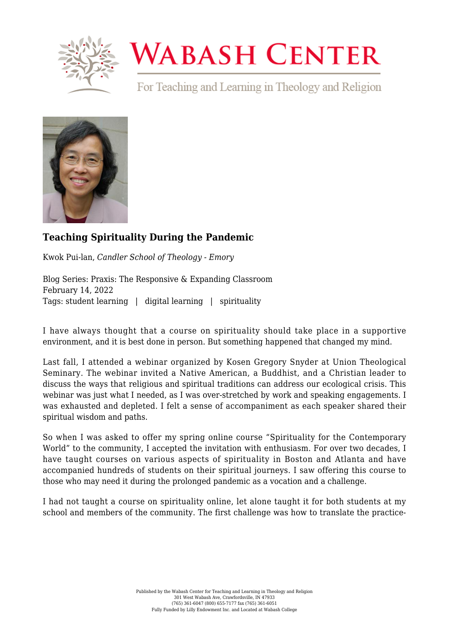

## **WABASH CENTER**

For Teaching and Learning in Theology and Religion



## **[Teaching Spirituality During the Pandemic](https://www.wabashcenter.wabash.edu/2022/02/teaching-spirituality-during-the-pandemic/)**

Kwok Pui-lan, *Candler School of Theology - Emory*

Blog Series: Praxis: The Responsive & Expanding Classroom February 14, 2022 Tags: student learning | digital learning | spirituality

I have always thought that a course on spirituality should take place in a supportive environment, and it is best done in person. But something happened that changed my mind.

Last fall, I attended a webinar organized by Kosen Gregory Snyder at Union Theological Seminary. The webinar invited a Native American, a Buddhist, and a Christian leader to discuss the ways that religious and spiritual traditions can address our ecological crisis. This webinar was just what I needed, as I was over-stretched by work and speaking engagements. I was exhausted and depleted. I felt a sense of accompaniment as each speaker shared their spiritual wisdom and paths.

So when I was asked to offer my spring online course "[Spirituality for the Contemporary](https://candlerfoundry.emory.edu/coursetemplate?eventtemplate=19-spirituality-for-the-contemporary-world) [World"](https://candlerfoundry.emory.edu/coursetemplate?eventtemplate=19-spirituality-for-the-contemporary-world) to the community, I accepted the invitation with enthusiasm. For over two decades, I have taught courses on various aspects of spirituality in Boston and Atlanta and have accompanied hundreds of students on their spiritual journeys. I saw offering this course to those who may need it during the prolonged pandemic as a vocation and a challenge.

I had not taught a course on spirituality online, let alone taught it for both students at my school and members of the community. The first challenge was how to translate the practice-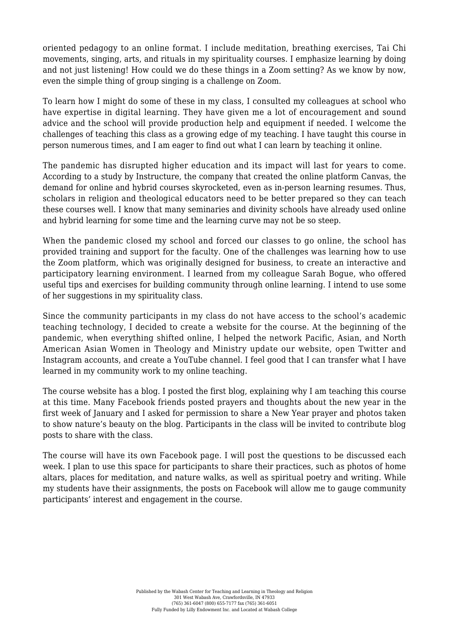oriented pedagogy to an online format. I include meditation, breathing exercises, Tai Chi movements, singing, arts, and rituals in my spirituality courses. I emphasize learning by doing and not just listening! How could we do these things in a Zoom setting? As we know by now, even the simple thing of group singing is a challenge on Zoom.

To learn how I might do some of these in my class, I consulted my colleagues at school who have expertise in digital learning. They have given me a lot of encouragement and sound advice and the school will provide production help and equipment if needed. I welcome the challenges of teaching this class as a growing edge of my teaching. I have taught this course in person numerous times, and I am eager to find out what I can learn by teaching it online.

The pandemic has disrupted higher education and its impact will last for years to come. According to [a study by Instructure,](https://www.msn.com/en-us/health/medical/effects-of-pandemic-on-higher-education/vi-AARBzyw) the company that created the online platform Canvas, the demand for online and hybrid courses skyrocketed, even as in-person learning resumes. Thus, scholars in religion and theological educators need to be better prepared so they can teach these courses well. I know that many seminaries and divinity schools have already used online and hybrid learning for some time and the learning curve may not be so steep.

When the pandemic closed my school and forced our classes to go online, the school has provided training and support for the faculty. One of the challenges was learning how to use the Zoom platform, which was originally designed for business, to create an interactive and participatory learning environment. I learned from my colleague Sarah Bogue, who offered useful tips and exercises for [building community through online learning.](https://dialogueonteaching.buzzsprout.com/829600/6032977) I intend to use some of her suggestions in my spirituality class.

Since the community participants in my class do not have access to the school's academic teaching technology, I decided to create a [website](https://scholarblogs.emory.edu/spirituality/) for the course. At the beginning of the pandemic, when everything shifted online, I helped the network [Pacific, Asian, and North](https://www.panaawtm.org/) [American Asian Women in Theology and Ministry](https://www.panaawtm.org/) update our website, open Twitter and Instagram accounts, and create a [YouTube channel.](https://www.youtube.com/c/panaawtm) I feel good that I can transfer what I have learned in my community work to my online teaching.

The course website has a [blog](https://scholarblogs.emory.edu/spirituality/blogs/). I posted the first blog, explaining why I am teaching this course at this time. Many Facebook friends posted prayers and thoughts about the new year in the first week of January and I asked for permission to share a New Year prayer and photos taken to show nature's beauty on the blog. Participants in the class will be invited to contribute blog posts to share with the class.

The course will have its own Facebook page. I will post the questions to be discussed each week. I plan to use this space for participants to share their practices, such as photos of home altars, places for meditation, and nature walks, as well as spiritual poetry and writing. While my students have their assignments, the posts on Facebook will allow me to gauge community participants' interest and engagement in the course.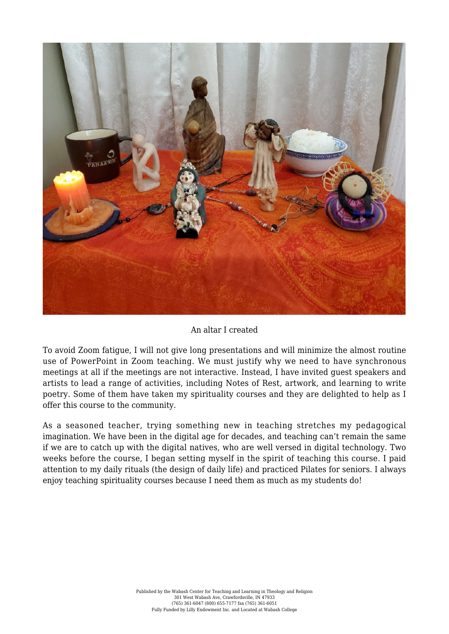

An altar I created

To avoid Zoom fatigue, I will not give long presentations and will minimize the almost routine use of PowerPoint in Zoom teaching. We must justify why we need to have synchronous meetings at all if the meetings are not interactive. Instead, I have invited guest speakers and artists to lead a range of activities, including [Notes of Rest](https://nam11.safelinks.protection.outlook.com/?url=http%3A%2F%2Fjuliandavisreid.com%2Fnotesofrest&data=04%7C01%7Cpui.lan.kwok%40emory.edu%7Cccb48d73b0f147f78da708d9cf33f907%7Ce004fb9cb0a4424fbcd0322606d5df38%7C0%7C0%7C637768645615483065%7CUnknown%7CTWFpbGZsb3d8eyJWIjoiMC4wLjAwMDAiLCJQIjoiV2luMzIiLCJBTiI6Ik1haWwiLCJXVCI6Mn0%3D%7C2000&sdata=zmzVlcmLx8GwIbq4d4jhiEgyjIn7E4RBg88czUg41f4%3D&reserved=0), artwork, and learning to write poetry. Some of them have taken my spirituality courses and they are delighted to help as I offer this course to the community.

As a seasoned teacher, trying something new in teaching stretches my pedagogical imagination. We have been in the digital age for decades, and teaching can't remain the same if we are to catch up with the digital natives, who are well versed in digital technology. Two weeks before the course, I began setting myself in the spirit of teaching this course. I paid attention to my daily rituals (the design of daily life) and practiced Pilates for seniors. I always enjoy teaching spirituality courses because I need them as much as my students do!